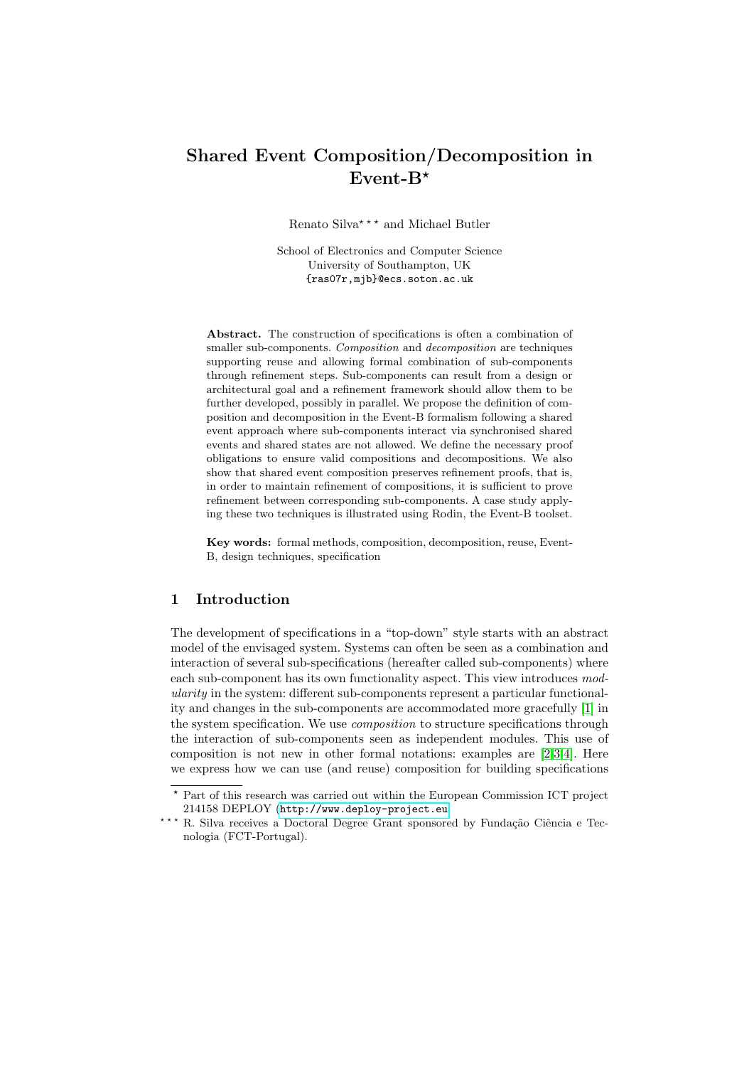# Shared Event Composition/Decomposition in Event- $B^{\star}$

Renato Silva<sup>\*\*\*</sup> and Michael Butler

School of Electronics and Computer Science University of Southampton, UK {ras07r,mjb}@ecs.soton.ac.uk

Abstract. The construction of specifications is often a combination of smaller sub-components. Composition and decomposition are techniques supporting reuse and allowing formal combination of sub-components through refinement steps. Sub-components can result from a design or architectural goal and a refinement framework should allow them to be further developed, possibly in parallel. We propose the definition of composition and decomposition in the Event-B formalism following a shared event approach where sub-components interact via synchronised shared events and shared states are not allowed. We define the necessary proof obligations to ensure valid compositions and decompositions. We also show that shared event composition preserves refinement proofs, that is, in order to maintain refinement of compositions, it is sufficient to prove refinement between corresponding sub-components. A case study applying these two techniques is illustrated using Rodin, the Event-B toolset.

Key words: formal methods, composition, decomposition, reuse, Event-B, design techniques, specification

## 1 Introduction

The development of specifications in a "top-down" style starts with an abstract model of the envisaged system. Systems can often be seen as a combination and interaction of several sub-specifications (hereafter called sub-components) where each sub-component has its own functionality aspect. This view introduces modularity in the system: different sub-components represent a particular functionality and changes in the sub-components are accommodated more gracefully [\[1\]](#page-18-0) in the system specification. We use *composition* to structure specifications through the interaction of sub-components seen as independent modules. This use of composition is not new in other formal notations: examples are [\[2,](#page-18-1)[3](#page-18-2)[,4\]](#page-18-3). Here we express how we can use (and reuse) composition for building specifications

 $^\star$  Part of this research was carried out within the European Commission ICT project 214158 DEPLOY (<http://www.deploy-project.eu>.

<sup>\*\*\*</sup> R. Silva receives a Doctoral Degree Grant sponsored by Fundação Ciência e Tecnologia (FCT-Portugal).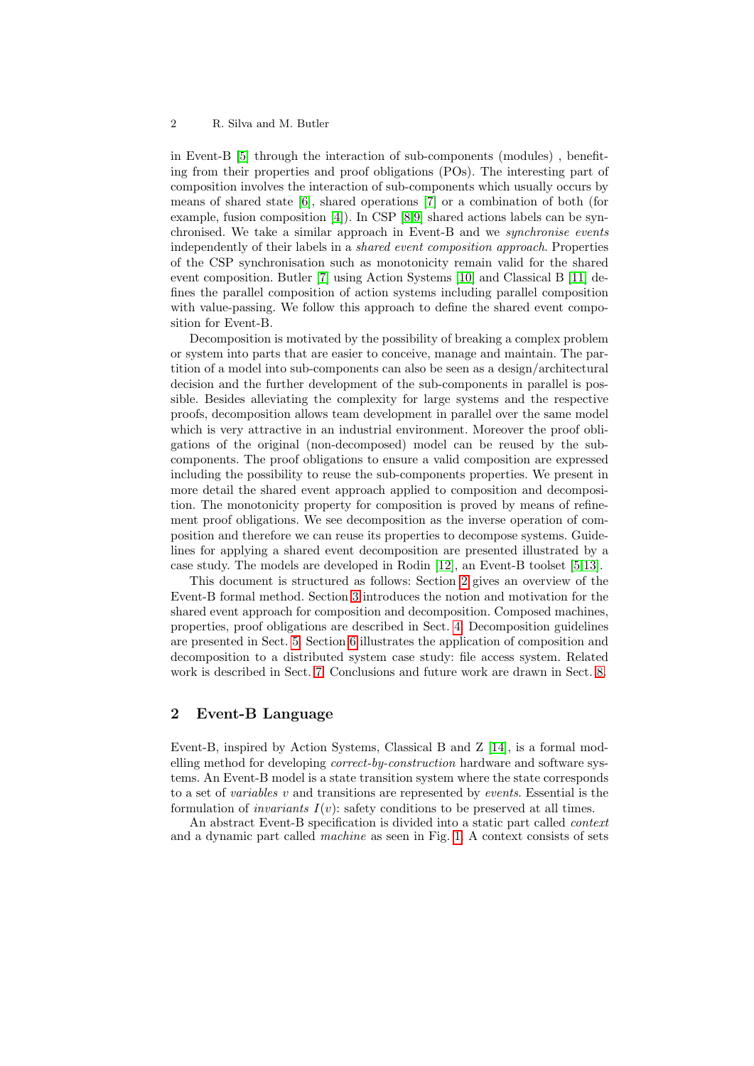in Event-B [\[5\]](#page-18-4) through the interaction of sub-components (modules) , benefiting from their properties and proof obligations (POs). The interesting part of composition involves the interaction of sub-components which usually occurs by means of shared state [\[6\]](#page-18-5), shared operations [\[7\]](#page-18-6) or a combination of both (for example, fusion composition [\[4\]](#page-18-3)). In CSP [\[8,](#page-19-0)[9\]](#page-19-1) shared actions labels can be synchronised. We take a similar approach in Event-B and we synchronise events independently of their labels in a shared event composition approach. Properties of the CSP synchronisation such as monotonicity remain valid for the shared event composition. Butler [\[7\]](#page-18-6) using Action Systems [\[10\]](#page-19-2) and Classical B [\[11\]](#page-19-3) defines the parallel composition of action systems including parallel composition with value-passing. We follow this approach to define the shared event composition for Event-B.

Decomposition is motivated by the possibility of breaking a complex problem or system into parts that are easier to conceive, manage and maintain. The partition of a model into sub-components can also be seen as a design/architectural decision and the further development of the sub-components in parallel is possible. Besides alleviating the complexity for large systems and the respective proofs, decomposition allows team development in parallel over the same model which is very attractive in an industrial environment. Moreover the proof obligations of the original (non-decomposed) model can be reused by the subcomponents. The proof obligations to ensure a valid composition are expressed including the possibility to reuse the sub-components properties. We present in more detail the shared event approach applied to composition and decomposition. The monotonicity property for composition is proved by means of refinement proof obligations. We see decomposition as the inverse operation of composition and therefore we can reuse its properties to decompose systems. Guidelines for applying a shared event decomposition are presented illustrated by a case study. The models are developed in Rodin [\[12\]](#page-19-4), an Event-B toolset [\[5,](#page-18-4)[13\]](#page-19-5).

This document is structured as follows: Section [2](#page-1-0) gives an overview of the Event-B formal method. Section [3](#page-2-0) introduces the notion and motivation for the shared event approach for composition and decomposition. Composed machines, properties, proof obligations are described in Sect. [4.](#page-6-0) Decomposition guidelines are presented in Sect. [5.](#page-12-0) Section [6](#page-14-0) illustrates the application of composition and decomposition to a distributed system case study: file access system. Related work is described in Sect. [7.](#page-17-0) Conclusions and future work are drawn in Sect. [8.](#page-18-7)

## <span id="page-1-0"></span>2 Event-B Language

Event-B, inspired by Action Systems, Classical B and Z [\[14\]](#page-19-6), is a formal modelling method for developing correct-by-construction hardware and software systems. An Event-B model is a state transition system where the state corresponds to a set of *variables*  $v$  and transitions are represented by *events*. Essential is the formulation of *invariants*  $I(v)$ : safety conditions to be preserved at all times.

An abstract Event-B specification is divided into a static part called context and a dynamic part called machine as seen in Fig. [1.](#page-2-1) A context consists of sets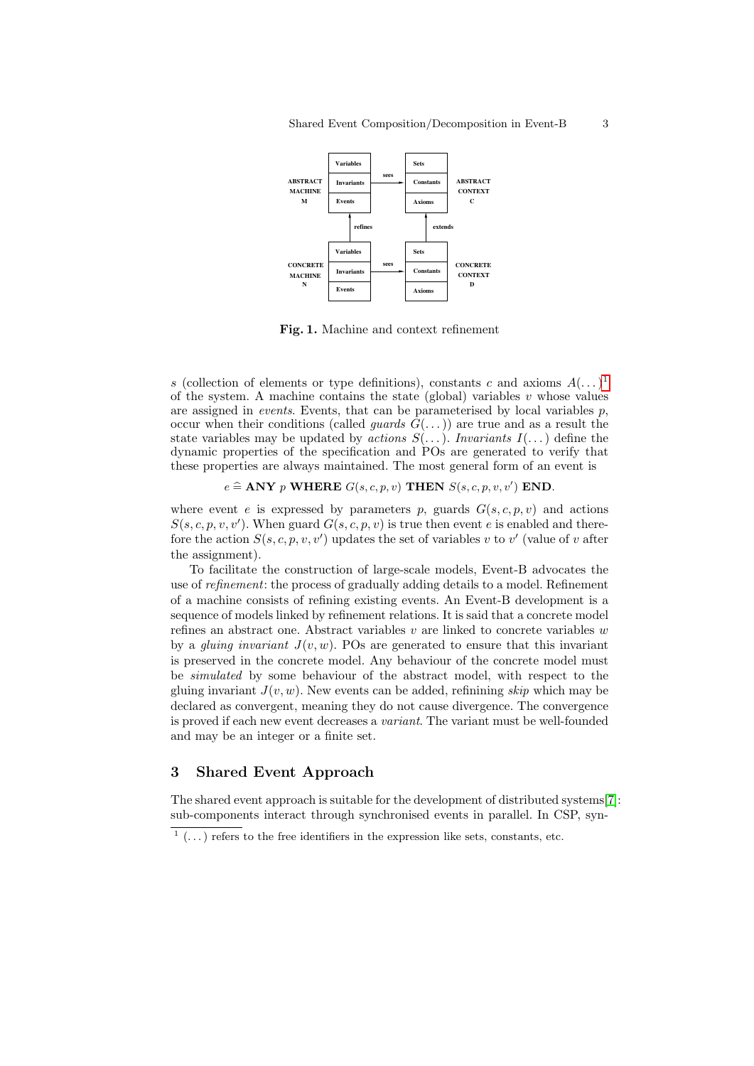

<span id="page-2-1"></span>Fig. 1. Machine and context refinement

s (collection of elements or type definitions), constants c and axioms  $A(\dots)^1$  $A(\dots)^1$ of the system. A machine contains the state (global) variables v whose values are assigned in *events*. Events, that can be parameterised by local variables  $p$ , **5.1. Machine Refinement and Context Extension** state variables may be updated by *actions*  $S(\ldots)$ . Invariants  $I(\ldots)$  define the dynamic properties of the specification and POs are generated to verify that these properties are always maintained. The most general form of an event is  $\sim$  context C as does its abstraction M. This is illustrated in  $\sim$ occur when their conditions (called *guards*  $\tilde{G}(\ldots)$ ) are true and as a result the

 $e \triangleq \textbf{ANY} \ p \textbf{ WHERE } G(s, c, p, v) \textbf{ THEN } S(s, c, p, v, v') \textbf{ END}.$ 

where event e is expressed by parameters  $p$ , guards  $G(s, c, p, v)$  and actions  $S(s, c, p, v, v')$ . When guard  $G(s, c, p, v)$  is true then event e is enabled and therefore the action  $S(s, c, p, v, v')$  updates the set of variables v to v' (value of v after the assignment).

To facilitate the construction of large-scale models, Event-B advocates the use of refinement: the process of gradually adding details to a model. Refinement of a machine consists of refining existing events. An Event-B development is a sequence of models linked by refinement relations. It is said that a concrete model refines an abstract one. Abstract variables  $v$  are linked to concrete variables  $w$ by a *gluing invariant*  $J(v, w)$ . POs are generated to ensure that this invariant is preserved in the concrete model. Any behaviour of the concrete model must be simulated by some behaviour of the abstract model, with respect to the gluing invariant  $J(v, w)$ . New events can be added, refinining *skip* which may be declared as convergent, meaning they do not cause divergence. The convergence is proved if each new event decreases a variant. The variant must be well-founded and may be an integer or a finite set.

#### <span id="page-2-0"></span>3 Shared Event Approach

The shared event approach is suitable for the development of distributed systems[\[7\]](#page-18-6): sub-components interact through synchronised events in parallel. In CSP, syn-

<span id="page-2-2"></span> $\frac{1}{1}$  (...) refers to the free identifiers in the expression like sets, constants, etc.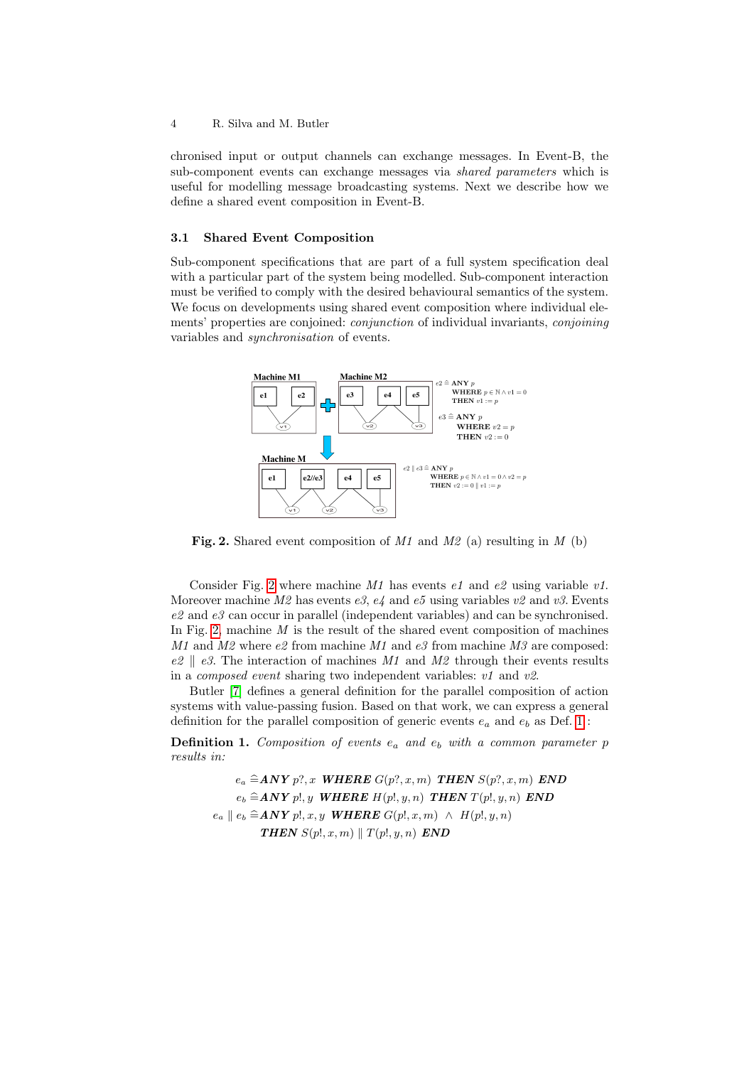chronised input or output channels can exchange messages. In Event-B, the sub-component events can exchange messages via shared parameters which is useful for modelling message broadcasting systems. Next we describe how we define a shared event composition in Event-B.

#### <span id="page-3-2"></span>3.1 Shared Event Composition

Sub-component specifications that are part of a full system specification deal with a particular part of the system being modelled. Sub-component interaction must be verified to comply with the desired behavioural semantics of the system. We focus on developments using shared event composition where individual elements' properties are conjoined: *conjunction* of individual invariants, *conjoining* variables and *synchronisation* of events.



<span id="page-3-0"></span>Fig. 2. Shared event composition of  $M1$  and  $M2$  (a) resulting in  $M$  (b)

Consider Fig. [2](#page-3-0) where machine  $M1$  has events  $e1$  and  $e2$  using variable  $v1$ . Moreover machine  $M2$  has events  $e3$ ,  $e4$  and  $e5$  using variables  $v2$  and  $v3$ . Events  $e2$  and  $e3$  can occur in parallel (independent variables) and can be synchronised. In Fig. [2,](#page-3-0) machine  $M$  is the result of the shared event composition of machines  $M1$  and  $M2$  where  $e2$  from machine  $M1$  and  $e3$  from machine  $M3$  are composed: e2 || e3. The interaction of machines  $M1$  and  $M2$  through their events results in a *composed event* sharing two independent variables:  $v1$  and  $v2$ .

Butler [\[7\]](#page-18-6) defines a general definition for the parallel composition of action systems with value-passing fusion. Based on that work, we can express a general definition for the parallel composition of generic events  $e_a$  and  $e_b$  as Def. [1](#page-3-1):

**Definition 1.** Composition of events  $e_a$  and  $e_b$  with a common parameter p results in:

<span id="page-3-1"></span> $e_a \triangleq ANY$  p?, x WHERE  $G(p?, x, m)$  THEN  $S(p?, x, m)$  END  $e_b \triangleq ANY$  p!, y WHERE  $H(p!, y, n)$  THEN  $T(p!, y, n)$  END  $e_a \parallel e_b \triangleq ANY$  p!, x, y WHERE  $G(p!, x, m) \wedge H(p!, y, n)$ **THEN**  $S(p!, x, m)$  ||  $T(p!, y, n)$  **END**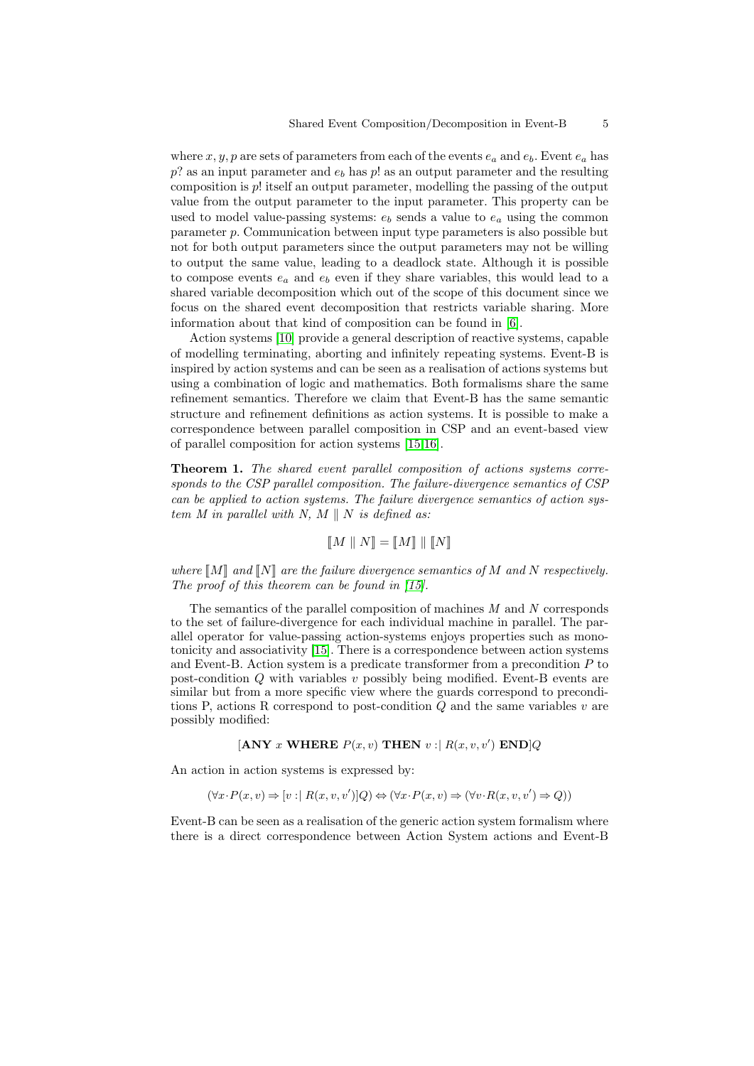where  $x, y, p$  are sets of parameters from each of the events  $e_a$  and  $e_b$ . Event  $e_a$  has  $p$ ? as an input parameter and  $e<sub>b</sub>$  has  $p!$  as an output parameter and the resulting composition is  $p!$  itself an output parameter, modelling the passing of the output value from the output parameter to the input parameter. This property can be used to model value-passing systems:  $e<sub>b</sub>$  sends a value to  $e<sub>a</sub>$  using the common parameter p. Communication between input type parameters is also possible but not for both output parameters since the output parameters may not be willing to output the same value, leading to a deadlock state. Although it is possible to compose events  $e_a$  and  $e_b$  even if they share variables, this would lead to a shared variable decomposition which out of the scope of this document since we focus on the shared event decomposition that restricts variable sharing. More information about that kind of composition can be found in [\[6\]](#page-18-5).

Action systems [\[10\]](#page-19-2) provide a general description of reactive systems, capable of modelling terminating, aborting and infinitely repeating systems. Event-B is inspired by action systems and can be seen as a realisation of actions systems but using a combination of logic and mathematics. Both formalisms share the same refinement semantics. Therefore we claim that Event-B has the same semantic structure and refinement definitions as action systems. It is possible to make a correspondence between parallel composition in CSP and an event-based view of parallel composition for action systems [\[15,](#page-19-7)[16\]](#page-19-8).

Theorem 1. The shared event parallel composition of actions systems corresponds to the CSP parallel composition. The failure-divergence semantics of CSP can be applied to action systems. The failure divergence semantics of action system M in parallel with N, M  $\parallel$  N is defined as:

$$
\llbracket M \parallel N \rrbracket = \llbracket M \rrbracket \parallel \llbracket N \rrbracket
$$

where  $\llbracket M \rrbracket$  and  $\llbracket N \rrbracket$  are the failure divergence semantics of M and N respectively. The proof of this theorem can be found in [\[15\]](#page-19-7).

The semantics of the parallel composition of machines  $M$  and  $N$  corresponds to the set of failure-divergence for each individual machine in parallel. The parallel operator for value-passing action-systems enjoys properties such as monotonicity and associativity [\[15\]](#page-19-7). There is a correspondence between action systems and Event-B. Action system is a predicate transformer from a precondition  $P$  to post-condition  $Q$  with variables  $v$  possibly being modified. Event-B events are similar but from a more specific view where the guards correspond to preconditions P, actions R correspond to post-condition  $Q$  and the same variables  $v$  are possibly modified:

[ANY x WHERE 
$$
P(x, v)
$$
 THEN  $v : R(x, v, v')$  END]Q

An action in action systems is expressed by:

$$
(\forall x \cdot P(x, v) \Rightarrow [v : \mid R(x, v, v')]Q) \Leftrightarrow (\forall x \cdot P(x, v) \Rightarrow (\forall v \cdot R(x, v, v') \Rightarrow Q))
$$

Event-B can be seen as a realisation of the generic action system formalism where there is a direct correspondence between Action System actions and Event-B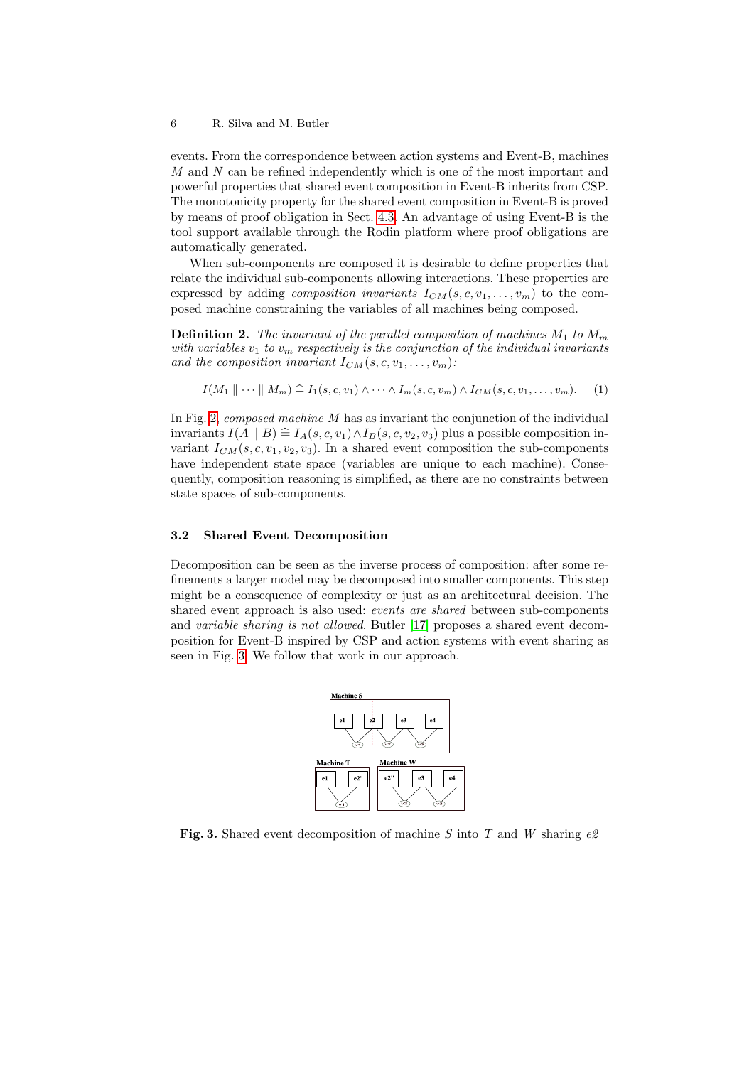events. From the correspondence between action systems and Event-B, machines M and N can be refined independently which is one of the most important and powerful properties that shared event composition in Event-B inherits from CSP. The monotonicity property for the shared event composition in Event-B is proved by means of proof obligation in Sect. [4.3.](#page-9-0) An advantage of using Event-B is the tool support available through the Rodin platform where proof obligations are automatically generated.

When sub-components are composed it is desirable to define properties that relate the individual sub-components allowing interactions. These properties are expressed by adding *composition invariants*  $I_{CM}(s, c, v_1, \ldots, v_m)$  to the composed machine constraining the variables of all machines being composed.

**Definition 2.** The invariant of the parallel composition of machines  $M_1$  to  $M_m$ with variables  $v_1$  to  $v_m$  respectively is the conjunction of the individual invariants and the composition invariant  $I_{CM}(s, c, v_1, \ldots, v_m)$ :

<span id="page-5-1"></span>
$$
I(M_1 \parallel \cdots \parallel M_m) \cong I_1(s, c, v_1) \wedge \cdots \wedge I_m(s, c, v_m) \wedge I_{CM}(s, c, v_1, \ldots, v_m).
$$
 (1)

In Fig. [2,](#page-3-0) composed machine M has as invariant the conjunction of the individual invariants  $I(A \parallel B) \cong I_A(s, c, v_1) \wedge I_B(s, c, v_2, v_3)$  plus a possible composition invariant  $I_{CM}(s, c, v_1, v_2, v_3)$ . In a shared event composition the sub-components have independent state space (variables are unique to each machine). Consequently, composition reasoning is simplified, as there are no constraints between state spaces of sub-components.

#### <span id="page-5-2"></span>3.2 Shared Event Decomposition

Decomposition can be seen as the inverse process of composition: after some refinements a larger model may be decomposed into smaller components. This step might be a consequence of complexity or just as an architectural decision. The shared event approach is also used: *events are shared* between sub-components and variable sharing is not allowed. Butler [\[17\]](#page-19-9) proposes a shared event decomposition for Event-B inspired by CSP and action systems with event sharing as seen in Fig. [3.](#page-5-0) We follow that work in our approach.



<span id="page-5-0"></span>**Fig. 3.** Shared event decomposition of machine S into T and W sharing e2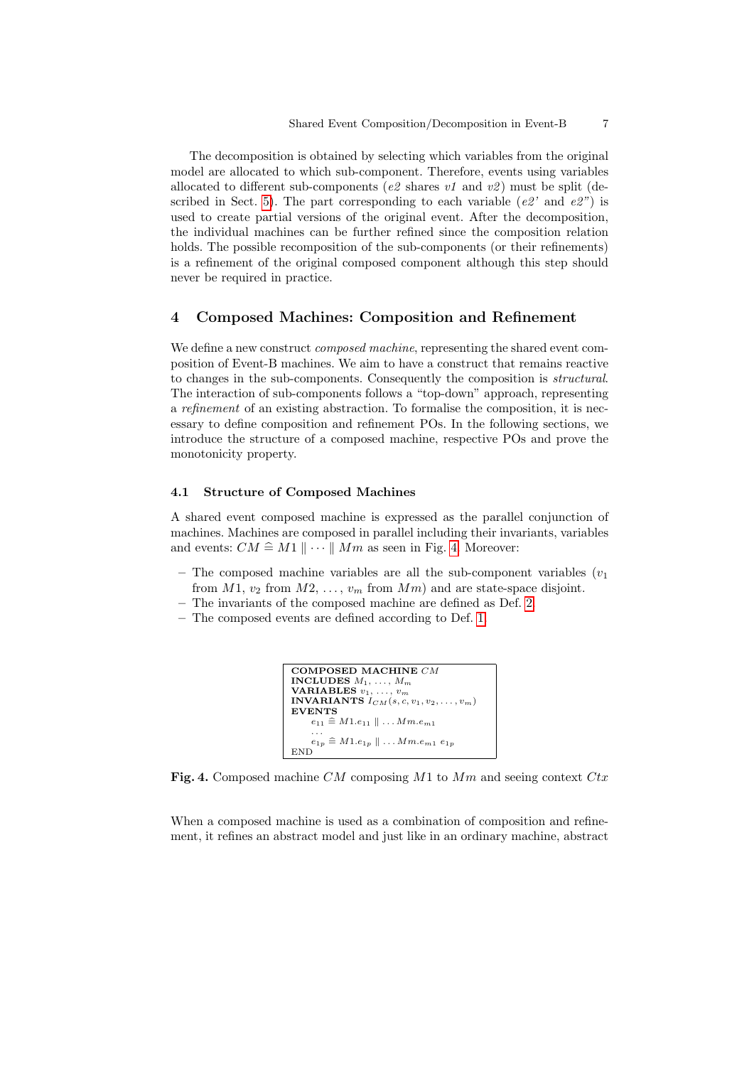The decomposition is obtained by selecting which variables from the original model are allocated to which sub-component. Therefore, events using variables allocated to different sub-components (e2 shares v1 and v2) must be split (de-scribed in Sect. [5\)](#page-12-0). The part corresponding to each variable (e2' and e2") is used to create partial versions of the original event. After the decomposition, the individual machines can be further refined since the composition relation holds. The possible recomposition of the sub-components (or their refinements) is a refinement of the original composed component although this step should never be required in practice.

## <span id="page-6-0"></span>4 Composed Machines: Composition and Refinement

We define a new construct *composed machine*, representing the shared event composition of Event-B machines. We aim to have a construct that remains reactive to changes in the sub-components. Consequently the composition is structural. The interaction of sub-components follows a "top-down" approach, representing a refinement of an existing abstraction. To formalise the composition, it is necessary to define composition and refinement POs. In the following sections, we introduce the structure of a composed machine, respective POs and prove the monotonicity property.

#### 4.1 Structure of Composed Machines

A shared event composed machine is expressed as the parallel conjunction of machines. Machines are composed in parallel including their invariants, variables and events:  $CM \cong M1 \parallel \cdots \parallel Mm$  as seen in Fig. [4.](#page-6-1) Moreover:

- The composed machine variables are all the sub-component variables  $(v_1)$ from  $M1$ ,  $v_2$  from  $M2$ , ...,  $v_m$  from  $Mm$ ) and are state-space disjoint.
- The invariants of the composed machine are defined as Def. [2.](#page-5-1)
- The composed events are defined according to Def. [1.](#page-3-1)

```
COMPOSED MACHINE CM
INCLUDES M_1, \ldots, M_mVARIABLES v_1, \ldots, v_mINVARIANTS I_{CM}(s, c, v_1, v_2, \ldots, v_m)EVENTS
    e_{11} \triangleq M1.e_{11} \parallel \dots Mm.e_{m1}...<br>
e_{1p} \hat{=} M1.e_{1p} \parallel ... Mm.e_{m1} \; e_{1p}END
```
<span id="page-6-1"></span>Fig. 4. Composed machine CM composing M1 to Mm and seeing context  $Ctx$ 

When a composed machine is used as a combination of composition and refinement, it refines an abstract model and just like in an ordinary machine, abstract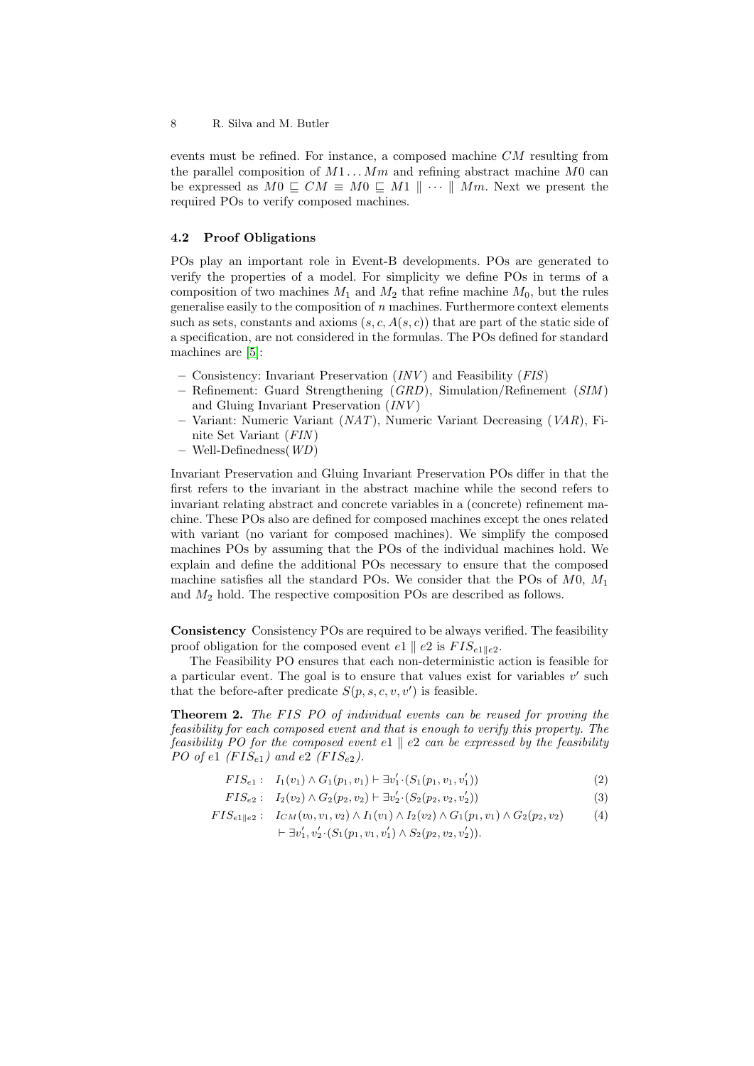events must be refined. For instance, a composed machine CM resulting from the parallel composition of  $M1...Mm$  and refining abstract machine  $M0$  can be expressed as  $M0 \subseteq CM \equiv M0 \subseteq M1 \parallel \cdots \parallel Mm$ . Next we present the required POs to verify composed machines.

#### 4.2 Proof Obligations

POs play an important role in Event-B developments. POs are generated to verify the properties of a model. For simplicity we define POs in terms of a composition of two machines  $M_1$  and  $M_2$  that refine machine  $M_0$ , but the rules generalise easily to the composition of  $n$  machines. Furthermore context elements such as sets, constants and axioms  $(s, c, A(s, c))$  that are part of the static side of a specification, are not considered in the formulas. The POs defined for standard machines are [\[5\]](#page-18-4):

- Consistency: Invariant Preservation  $(INV)$  and Feasibility  $(FIS)$
- Refinement: Guard Strengthening (GRD), Simulation/Refinement (SIM ) and Gluing Invariant Preservation (INV )
- Variant: Numeric Variant (NAT), Numeric Variant Decreasing (VAR), Finite Set Variant (FIN )
- Well-Definedness(WD)

Invariant Preservation and Gluing Invariant Preservation POs differ in that the first refers to the invariant in the abstract machine while the second refers to invariant relating abstract and concrete variables in a (concrete) refinement machine. These POs also are defined for composed machines except the ones related with variant (no variant for composed machines). We simplify the composed machines POs by assuming that the POs of the individual machines hold. We explain and define the additional POs necessary to ensure that the composed machine satisfies all the standard POs. We consider that the POs of  $M_0$ ,  $M_1$ and  $M_2$  hold. The respective composition POs are described as follows.

Consistency Consistency POs are required to be always verified. The feasibility proof obligation for the composed event e1  $\parallel$  e2 is  $FIS_{e1\parallel e2}$ .

The Feasibility PO ensures that each non-deterministic action is feasible for a particular event. The goal is to ensure that values exist for variables  $v'$  such that the before-after predicate  $S(p, s, c, v, v')$  is feasible.

**Theorem 2.** The FIS PO of individual events can be reused for proving the feasibility for each composed event and that is enough to verify this property. The feasibility PO for the composed event e1  $\parallel$  e2 can be expressed by the feasibility PO of e1  $(FIS_{e1})$  and e2  $(FIS_{e2})$ .

$$
FIS_{e1}: I_1(v_1) \wedge G_1(p_1, v_1) \vdash \exists v_1' \cdot (S_1(p_1, v_1, v_1')) \tag{2}
$$

- <span id="page-7-1"></span><span id="page-7-0"></span> $FIS_{e2}: I_2(v_2) \wedge G_2(p_2, v_2) \vdash \exists v_2' \cdot (S_2(p_2, v_2, v_2')$  $\binom{1}{2}$  (3)
- $FIS_{e1||e2}$ :  $I_{CM}(v_0, v_1, v_2) \wedge I_1(v_1) \wedge I_2(v_2) \wedge G_1(p_1, v_1) \wedge G_2(p_2, v_2)$  (4)  $\vdash \exists v_1', v_2' \cdot (S_1(p_1, v_1, v_1') \wedge S_2(p_2, v_2, v_2')).$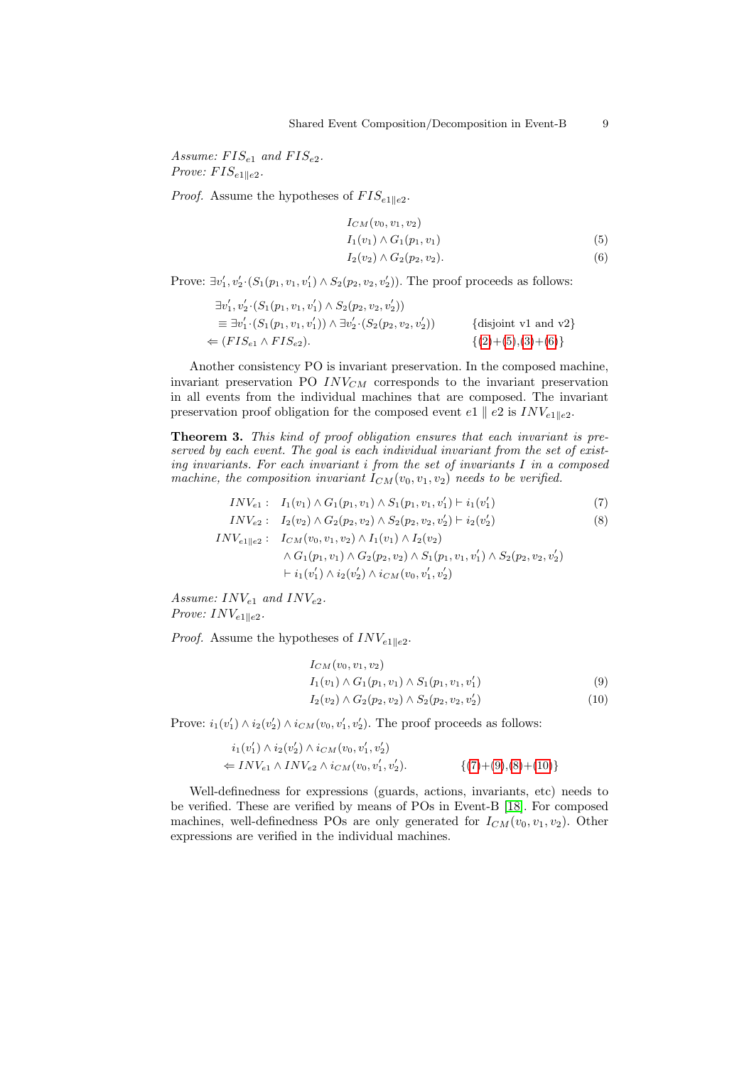Assume:  $FIS_{e1}$  and  $FIS_{e2}$ . Prove:  $FIS_{e1||e2}$ .

*Proof.* Assume the hypotheses of  $FIS_{e1||e2}$ .

$$
I_{CM}(v_0, v_1, v_2)
$$
  
\n
$$
I_1(v_1) \wedge G_1(p_1, v_1)
$$
  
\n
$$
I_2(v_2) \wedge G_2(p_2, v_2).
$$
  
\n(6)

Prove:  $\exists v'_1, v'_2 \cdot (S_1(p_1, v_1, v'_1) \land S_2(p_2, v_2, v'_2))$ . The proof proceeds as follows:

$$
\exists v'_1, v'_2 \cdot (S_1(p_1, v_1, v'_1) \land S_2(p_2, v_2, v'_2))
$$
\n
$$
\equiv \exists v'_1 \cdot (S_1(p_1, v_1, v'_1)) \land \exists v'_2 \cdot (S_2(p_2, v_2, v'_2))
$$
\n{disjoint v1 and v2}\n
$$
\Leftarrow (FIS_{e1} \land FIS_{e2}).
$$
\n
$$
\{(2)+(5),(3)+(6)\}
$$

Another consistency PO is invariant preservation. In the composed machine, invariant preservation PO  $INV_{CM}$  corresponds to the invariant preservation in all events from the individual machines that are composed. The invariant preservation proof obligation for the composed event e1  $\parallel$  e2 is  $INV_{e1\parallel e2}$ .

Theorem 3. This kind of proof obligation ensures that each invariant is preserved by each event. The goal is each individual invariant from the set of existing invariants. For each invariant  $i$  from the set of invariants  $I$  in a composed machine, the composition invariant  $I_{CM}(v_0, v_1, v_2)$  needs to be verified.

$$
INV_{e1}: I_1(v_1) \wedge G_1(p_1, v_1) \wedge S_1(p_1, v_1, v'_1) \vdash i_1(v'_1)
$$
\n
$$
(7)
$$

$$
INV_{e2}: I_2(v_2) \wedge G_2(p_2, v_2) \wedge S_2(p_2, v_2, v_2') \vdash i_2(v_2') \tag{8}
$$

$$
INV_{e1||e2}: I_{CM}(v_0, v_1, v_2) \wedge I_1(v_1) \wedge I_2(v_2)
$$
  
 
$$
\wedge G_1(p_1, v_1) \wedge G_2(p_2, v_2) \wedge S_1(p_1, v_1, v'_1) \wedge S_2(p_2, v_2, v'_2)
$$
  
 
$$
\vdash i_1(v'_1) \wedge i_2(v'_2) \wedge i_{CM}(v_0, v'_1, v'_2)
$$

Assume:  $INV_{e1}$  and  $INV_{e2}$ . Prove:  $INV_{e1||e2}$ .

*Proof.* Assume the hypotheses of  $INV_{e1||e2}$ .

<span id="page-8-5"></span><span id="page-8-4"></span><span id="page-8-3"></span><span id="page-8-2"></span>
$$
I_{CM}(v_0, v_1, v_2)
$$
  
\n
$$
I_1(v_1) \wedge G_1(p_1, v_1) \wedge S_1(p_1, v_1, v'_1)
$$
  
\n
$$
I_2(v_2) \wedge G_2(p_2, v_2) \wedge S_2(p_2, v_2, v'_2)
$$
\n(10)

Prove:  $i_1(v'_1) \wedge i_2(v'_2) \wedge i_{CM}(v_0, v'_1, v'_2)$ . The proof proceeds as follows:

$$
i_1(v'_1) \wedge i_2(v'_2) \wedge i_{CM}(v_0, v'_1, v'_2)
$$
  

$$
\Leftarrow INV_{e1} \wedge INV_{e2} \wedge i_{CM}(v_0, v'_1, v'_2).
$$
 {(7)+(9),(8)+(10)}

Well-definedness for expressions (guards, actions, invariants, etc) needs to be verified. These are verified by means of POs in Event-B [\[18\]](#page-19-10). For composed machines, well-definedness POs are only generated for  $I_{CM}(v_0, v_1, v_2)$ . Other expressions are verified in the individual machines.

<span id="page-8-1"></span><span id="page-8-0"></span>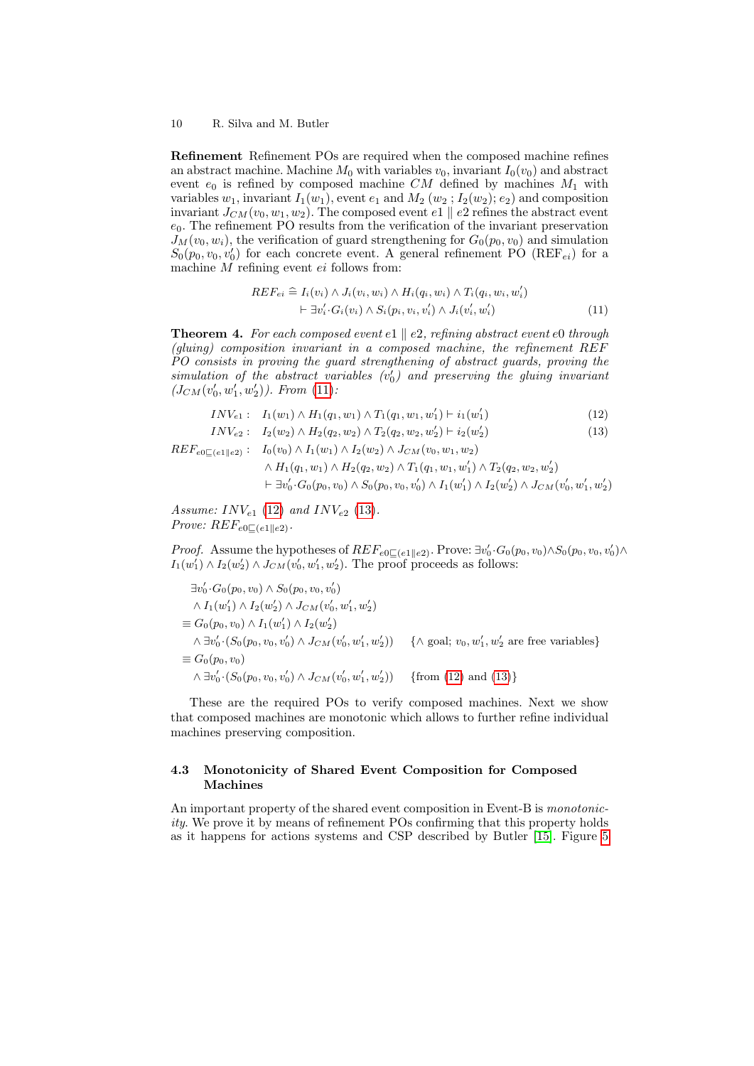Refinement Refinement POs are required when the composed machine refines an abstract machine. Machine  $M_0$  with variables  $v_0$ , invariant  $I_0(v_0)$  and abstract event  $e_0$  is refined by composed machine CM defined by machines  $M_1$  with variables  $w_1$ , invariant  $I_1(w_1)$ , event  $e_1$  and  $M_2(w_2; I_2(w_2); e_2)$  and composition invariant  $J_{CM}(v_0, w_1, w_2)$ . The composed event  $e1 \parallel e2$  refines the abstract event  $e_0$ . The refinement PO results from the verification of the invariant preservation  $J_M(v_0, w_i)$ , the verification of guard strengthening for  $G_0(p_0, v_0)$  and simulation  $S_0(p_0, v_0, v'_0)$  for each concrete event. A general refinement PO (REF<sub>ei</sub>) for a machine  $M$  refining event  $ei$  follows from:

<span id="page-9-3"></span><span id="page-9-2"></span><span id="page-9-1"></span>
$$
REF_{ei} \cong I_i(v_i) \wedge J_i(v_i, w_i) \wedge H_i(q_i, w_i) \wedge T_i(q_i, w_i, w'_i) \vdash \exists v'_i \cdot G_i(v_i) \wedge S_i(p_i, v_i, v'_i) \wedge J_i(v'_i, w'_i)
$$
\n(11)

**Theorem 4.** For each composed event e1  $\parallel$  e2, refining abstract event e0 through (gluing) composition invariant in a composed machine, the refinement REF PO consists in proving the guard strengthening of abstract guards, proving the simulation of the abstract variables  $(v_0)$  and preserving the gluing invariant  $(J_{CM}(v'_0, w'_1, w'_2))$ . From [\(11\)](#page-9-1):

$$
INV_{e1}: I_1(w_1) \wedge H_1(q_1, w_1) \wedge T_1(q_1, w_1, w_1') \vdash i_1(w_1') \tag{12}
$$

$$
INV_{e2}: I_2(w_2) \wedge H_2(q_2, w_2) \wedge T_2(q_2, w_2, w_2') \vdash i_2(w_2') \tag{13}
$$

 $REF_{e0\sqsubset(e1||e2)}: I_0(v_0)\wedge I_1(w_1)\wedge I_2(w_2)\wedge J_{CM}(v_0,w_1,w_2)$  $\wedge$   $H_1(q_1, w_1) \wedge H_2(q_2, w_2) \wedge T_1(q_1, w_1, w_1') \wedge T_2(q_2, w_2, w_2')$  $\vdash \exists v'_0 \cdot G_0(p_0, v_0) \land S_0(p_0, v_0, v'_0) \land I_1(w'_1) \land I_2(w'_2) \land J_{CM}(v'_0, w'_1, w'_2)$ 

Assume:  $INV_{e1}$  [\(12\)](#page-9-2) and  $INV_{e2}$  [\(13\)](#page-9-3). Prove:  $REF_{e0}\subset (e1||e2)$ .

*Proof.* Assume the hypotheses of  $REF_{e0}\text{E}$ <sub>(e1\|e2</sub>). Prove:  $\exists v_0'.G_0(p_0, v_0) \wedge S_0(p_0, v_0, v_0') \wedge$  $I_1(w'_1) \wedge I_2(w'_2) \wedge J_{CM}(v'_0, w'_1, w'_2)$ . The proof proceeds as follows:

$$
\exists v'_0 \cdot G_0(p_0, v_0) \wedge S_0(p_0, v_0, v'_0) \n\wedge I_1(w'_1) \wedge I_2(w'_2) \wedge J_{CM}(v'_0, w'_1, w'_2) \n\equiv G_0(p_0, v_0) \wedge I_1(w'_1) \wedge I_2(w'_2) \n\wedge \exists v'_0 \cdot (S_0(p_0, v_0, v'_0) \wedge J_{CM}(v'_0, w'_1, w'_2)) \qquad {\wedge \text{ goal; } v_0, w'_1, w'_2 \text{ are free variables}} \n\equiv G_0(p_0, v_0) \n\wedge \exists v'_0 \cdot (S_0(p_0, v_0, v'_0) \wedge J_{CM}(v'_0, w'_1, w'_2)) \qquad \text{from (12) and (13)}
$$

These are the required POs to verify composed machines. Next we show that composed machines are monotonic which allows to further refine individual machines preserving composition.

#### <span id="page-9-0"></span>4.3 Monotonicity of Shared Event Composition for Composed Machines

An important property of the shared event composition in Event-B is monotonicity. We prove it by means of refinement POs confirming that this property holds as it happens for actions systems and CSP described by Butler [\[15\]](#page-19-7). Figure [5](#page-10-0)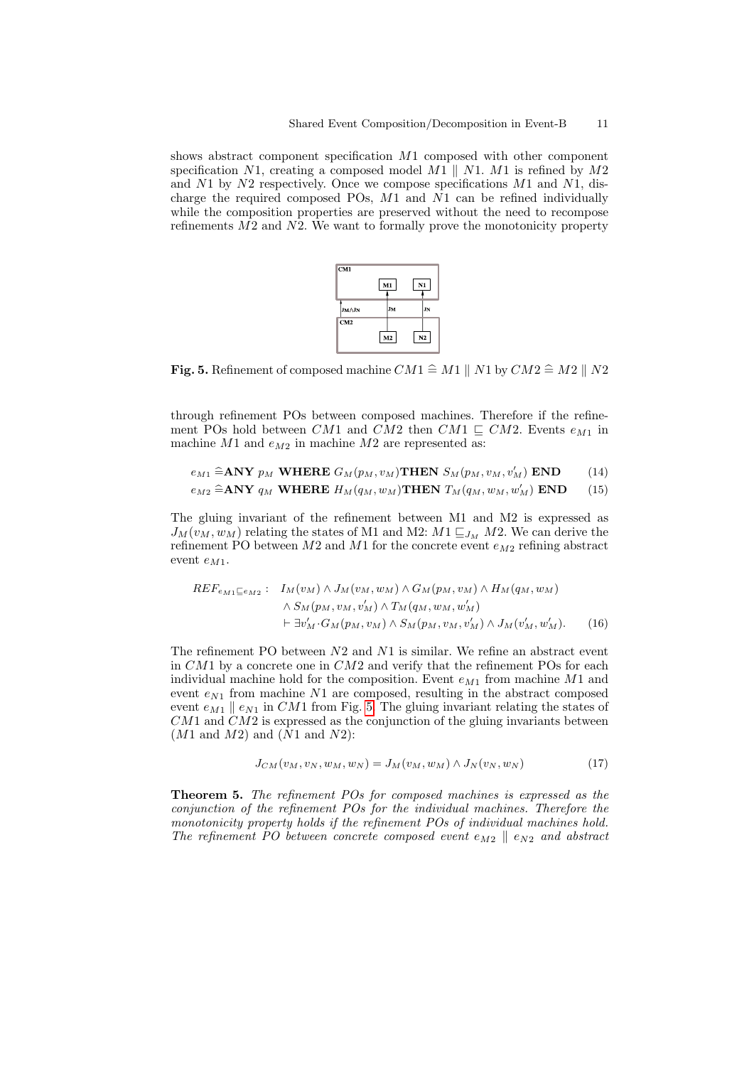shows abstract component specification M1 composed with other component specification N1, creating a composed model M1 || N1. M1 is refined by  $M2$ and  $N1$  by  $N2$  respectively. Once we compose specifications  $M1$  and  $N1$ , discharge the required composed POs,  $M1$  and  $N1$  can be refined individually while the composition properties are preserved without the need to recompose refinements  $M2$  and  $N2$ . We want to formally prove the monotonicity property



<span id="page-10-0"></span>Fig. 5. Refinement of composed machine  $CM1 \cong M1 \parallel N1$  by  $CM2 \cong M2 \parallel N2$ 

through refinement POs between composed machines. Therefore if the refinement POs hold between CM1 and CM2 then CM1  $\subseteq CM2$ . Events  $e_{M1}$  in machine  $M1$  and  $e_{M2}$  in machine  $M2$  are represented as:

$$
e_{M1} \triangleq \text{ANY } p_M \text{ WHERE } G_M(p_M, v_M) \text{THEN } S_M(p_M, v_M, v'_M) \text{ END} \tag{14}
$$

$$
e_{M2} \widehat{=} \mathbf{ANY} \ q_M \mathbf{WHERE} \ H_M(q_M, w_M) \mathbf{THEN} \ T_M(q_M, w_M, w'_M) \mathbf{ END} \tag{15}
$$

The gluing invariant of the refinement between M1 and M2 is expressed as  $J_M(v_M, w_M)$  relating the states of M1 and M2:  $M1 \sqsubseteq_{J_M} M2$ . We can derive the refinement PO between  $M2$  and  $M1$  for the concrete event  $e_{M2}$  refining abstract event  $e_{M1}$ .

$$
REF_{e_{M1}\sqsubseteq e_{M2}}: I_M(v_M) \wedge J_M(v_M, w_M) \wedge G_M(p_M, v_M) \wedge H_M(q_M, w_M)
$$
  
 
$$
\wedge S_M(p_M, v_M, v'_M) \wedge T_M(q_M, w_M, w'_M)
$$
  
 
$$
\vdash \exists v'_M \cdot G_M(p_M, v_M) \wedge S_M(p_M, v_M, v'_M) \wedge J_M(v'_M, w'_M).
$$
 (16)

The refinement PO between  $N2$  and  $N1$  is similar. We refine an abstract event in  $CM1$  by a concrete one in  $CM2$  and verify that the refinement POs for each individual machine hold for the composition. Event  $e_{M1}$  from machine  $M1$  and event  $e_{N1}$  from machine N1 are composed, resulting in the abstract composed event  $e_{M1} \parallel e_{N1}$  in CM1 from Fig. [5.](#page-10-0) The gluing invariant relating the states of  $CM1$  and  $CM2$  is expressed as the conjunction of the gluing invariants between  $(M1 \text{ and } M2)$  and  $(N1 \text{ and } N2)$ :

<span id="page-10-2"></span><span id="page-10-1"></span>
$$
J_{CM}(v_M, v_N, w_M, w_N) = J_M(v_M, w_M) \wedge J_N(v_N, w_N)
$$
\n(17)

Theorem 5. The refinement POs for composed machines is expressed as the conjunction of the refinement POs for the individual machines. Therefore the monotonicity property holds if the refinement POs of individual machines hold. The refinement PO between concrete composed event  $e_{M2} \parallel e_{N2}$  and abstract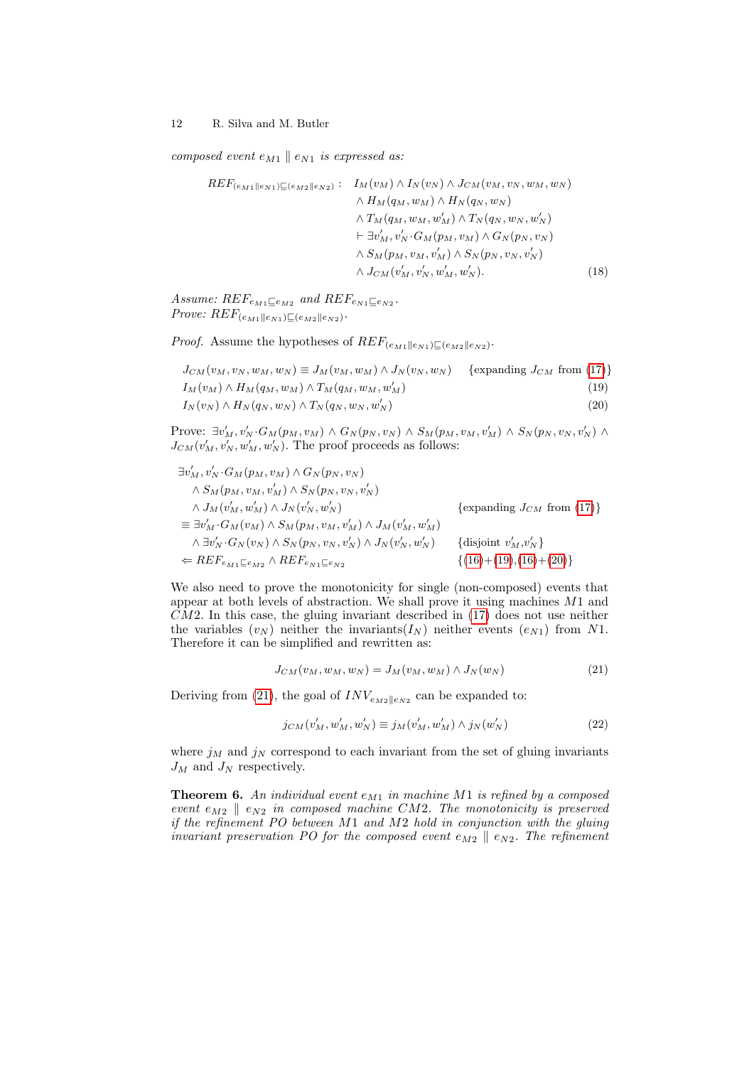composed event  $e_{M1} \parallel e_{N1}$  is expressed as:

$$
REF_{(e_{M1}||e_{N1})\sqsubseteq(e_{M2}||e_{N2})}: \quad I_M(v_M) \wedge I_N(v_N) \wedge J_{CM}(v_M, v_N, w_M, w_N) \wedge H_M(q_M, w_M) \wedge H_N(q_N, w_N) \wedge T_M(q_M, w_M, w_M') \wedge T_N(q_N, w_N, w_N') \wedge T_M(q_M, w_M, w_M') \wedge T_N(q_N, w_N, w_N') \wedge T_M(v_M, v_N', v_M', w_M') \wedge S_N(p_N, v_N, v_N') \wedge J_{CM}(v_M', v_N', w_M', w_N'). \tag{18}
$$

Assume:  $REF_{e_{M1}\sqsubseteq e_{M2}}$  and  $REF_{e_{N1}\sqsubseteq e_{N2}}$ . *Prove:*  $REF_{(e_{M1}||e_{N1}) \subseteq (e_{M2}||e_{N2})}$ .

*Proof.* Assume the hypotheses of  $REF_{(e_{M1}||e_{N1})\subseteq(e_{M2}||e_{N2})}$ .

<span id="page-11-1"></span><span id="page-11-0"></span>

| $J_{CM}(v_M, v_N, w_M, w_N) \equiv J_M(v_M, w_M) \wedge J_N(v_N, w_N)$ {expanding $J_{CM}$ from (17)} |      |
|-------------------------------------------------------------------------------------------------------|------|
| $I_M(v_M) \wedge H_M(q_M, w_M) \wedge T_M(q_M, w_M, w'_M)$                                            | (19) |
| $I_N(v_N) \wedge H_N(q_N, w_N) \wedge T_N(q_N, w_N, w'_N)$                                            | (20) |

Prove:  $\exists v'_M, v'_N \cdot G_M(p_M, v_M) \wedge G_N(p_N, v_N) \wedge S_M(p_M, v_M, v'_M) \wedge S_N(p_N, v_N, v'_N) \wedge$  $J_{CM}(v_M', v_N', w_M', w_N')$ . The proof proceeds as follows:

$$
\exists v'_{M}, v'_{N} \cdot G_{M}(p_{M}, v_{M}) \wedge G_{N}(p_{N}, v_{N})
$$
\n
$$
\wedge S_{M}(p_{M}, v_{M}, v'_{M}) \wedge S_{N}(p_{N}, v_{N}, v'_{N})
$$
\n
$$
\wedge J_{M}(v'_{M}, w'_{M}) \wedge J_{N}(v'_{N}, w'_{N}) \qquad \{\text{expanding } J_{CM} \text{ from (17)}\}
$$
\n
$$
\equiv \exists v'_{M} \cdot G_{M}(v_{M}) \wedge S_{M}(p_{M}, v_{M}, v'_{M}) \wedge J_{M}(v'_{M}, w'_{M})
$$
\n
$$
\wedge \exists v'_{N} \cdot G_{N}(v_{N}) \wedge S_{N}(p_{N}, v_{N}, v'_{N}) \wedge J_{N}(v'_{N}, w'_{N}) \qquad \{\text{disjoint } v'_{M}, v'_{N}\}
$$
\n
$$
\Leftarrow REF_{e_{M1}} \sqsubseteq e_{M2} \wedge REF_{e_{N1}} \sqsubseteq e_{N2} \qquad \{(16)+(19),(16)+(20)\}
$$

We also need to prove the monotonicity for single (non-composed) events that appear at both levels of abstraction. We shall prove it using machines M1 and  $CM2$ . In this case, the gluing invariant described in  $(17)$  does not use neither the variables  $(v_N)$  neither the invariants( $I_N$ ) neither events  $(e_{N1})$  from N1. Therefore it can be simplified and rewritten as:

$$
J_{CM}(v_M, w_M, w_N) = J_M(v_M, w_M) \wedge J_N(w_N)
$$
\n
$$
(21)
$$

Deriving from [\(21\)](#page-11-2), the goal of  $INV_{e_{M2}||e_{N2}}$  can be expanded to:

<span id="page-11-3"></span><span id="page-11-2"></span>
$$
j_{CM}(v'_M, w'_M, w'_N) \equiv j_M(v'_M, w'_M) \wedge j_N(w'_N)
$$
 (22)

where  $j_M$  and  $j_N$  correspond to each invariant from the set of gluing invariants  $J_M$  and  $J_N$  respectively.

**Theorem 6.** An individual event  $e_{M1}$  in machine M1 is refined by a composed event  $e_{M2} \parallel e_{N2}$  in composed machine CM2. The monotonicity is preserved if the refinement PO between M1 and M2 hold in conjunction with the gluing invariant preservation PO for the composed event  $e_{M2} \parallel e_{N2}$ . The refinement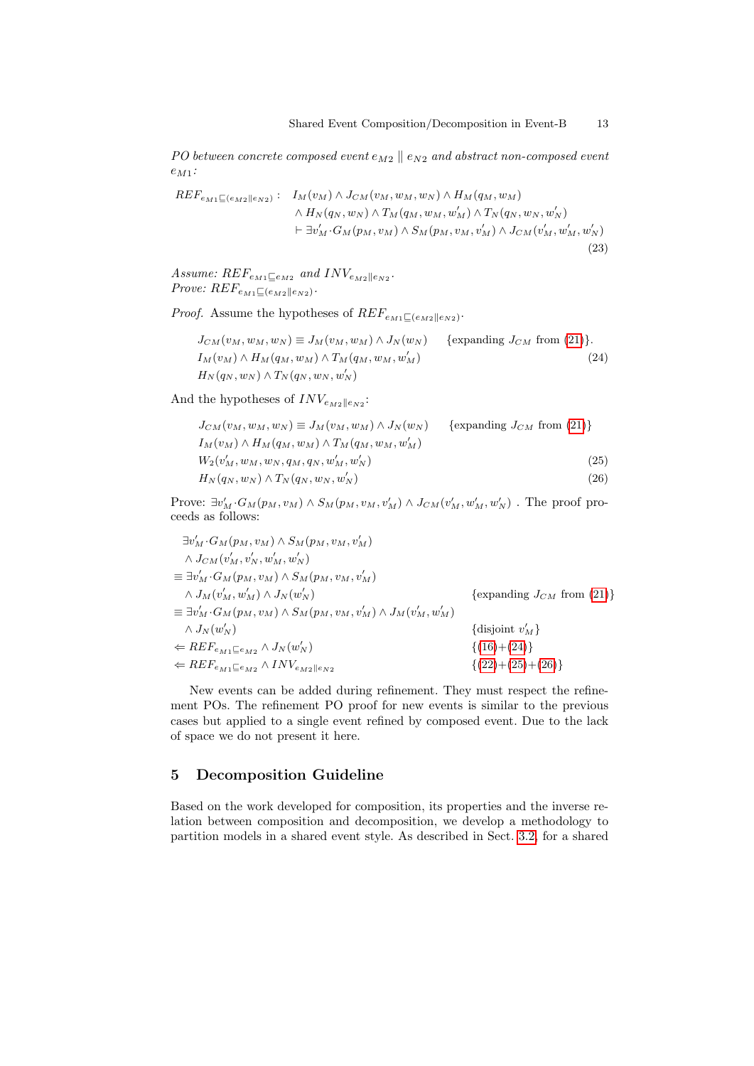PO between concrete composed event  $e_{M2} \parallel e_{N2}$  and abstract non-composed event  $e_{M1}$ :

 $REF_{e_{M1}\sqsubset (e_{M2}\parallel e_{N2})}: I_M(v_M) \wedge J_{CM}(v_M,w_M,w_N) \wedge H_M(q_M,w_M)$  $\wedge$   $H_N(q_N,w_N) \wedge T_M(q_M,w_M,w_M') \wedge T_N(q_N,w_N,w_N')$  $\vdash \exists v'_M\!\cdot\! G_M(p_M,v_M) \land S_M(p_M,v_M,v'_M) \land J_{CM}(v'_M,w'_M,w'_N)$ (23)

Assume:  $REF_{e_{M1}\sqsubseteq e_{M2}}$  and  $INV_{e_{M2}\parallel e_{N2}}$ . *Prove:*  $REF_{e_{M1}\sqsubseteq(e_{M2}\|e_{N2})}$ .

*Proof.* Assume the hypotheses of  $REF_{e_{M1}\sqsubseteq(e_{M2}\parallel e_{N2})}$ .

<span id="page-12-1"></span>
$$
J_{CM}(v_M, w_M, w_N) \equiv J_M(v_M, w_M) \wedge J_N(w_N) \quad \{\text{expanding } J_{CM} \text{ from (21)}\}.
$$
  
\n
$$
I_M(v_M) \wedge H_M(q_M, w_M) \wedge T_M(q_M, w_M, w'_M)
$$
\n
$$
H_N(q_N, w_N) \wedge T_N(q_N, w_N, w'_N)
$$
\n(24)

And the hypotheses of  $INV_{e_{M2}||e_{N2}}$ :

<span id="page-12-3"></span><span id="page-12-2"></span>
$$
J_{CM}(v_M, w_M, w_N) \equiv J_M(v_M, w_M) \wedge J_N(w_N) \quad \{\text{expanding } J_{CM} \text{ from (21)}\}
$$
  
\n
$$
I_M(v_M) \wedge H_M(q_M, w_M) \wedge T_M(q_M, w_M, w'_M)
$$
  
\n
$$
W_2(v'_M, w_M, w_N, q_M, q_N, w'_M, w'_N)
$$
  
\n
$$
H_N(q_N, w_N) \wedge T_N(q_N, w_N, w'_N)
$$
\n(26)

Prove:  $\exists v'_M \cdot G_M(p_M, v_M) \wedge S_M(p_M, v_M, v'_M) \wedge J_{CM}(v'_M, w'_M, w'_N)$ . The proof proceeds as follows:

$$
\exists v'_{M} \cdot G_{M}(p_{M}, v_{M}) \wedge S_{M}(p_{M}, v_{M}, v'_{M})
$$
\n
$$
\wedge J_{CM}(v'_{M}, v'_{N}, w'_{M}, w'_{N})
$$
\n
$$
\equiv \exists v'_{M} \cdot G_{M}(p_{M}, v_{M}) \wedge S_{M}(p_{M}, v_{M}, v'_{M})
$$
\n
$$
\wedge J_{M}(v'_{M}, w'_{M}) \wedge J_{N}(w'_{N})
$$
\n
$$
\equiv \exists v'_{M} \cdot G_{M}(p_{M}, v_{M}) \wedge S_{M}(p_{M}, v_{M}, v'_{M}) \wedge J_{M}(v'_{M}, w'_{M})
$$
\n
$$
\wedge J_{N}(w'_{N})
$$
\n
$$
\Leftrightarrow REF_{e_{M1}} \sqsubseteq e_{M2} \wedge J_{N}(w'_{N})
$$
\n
$$
\Leftrightarrow REF_{e_{M1}} \sqsubseteq e_{M2} \wedge INV_{e_{M2}} || e_{N2}
$$
\n
$$
\{(16)+(24)\}\n{22)+(25)+(26)\}
$$

New events can be added during refinement. They must respect the refinement POs. The refinement PO proof for new events is similar to the previous cases but applied to a single event refined by composed event. Due to the lack of space we do not present it here.

## <span id="page-12-0"></span>5 Decomposition Guideline

Based on the work developed for composition, its properties and the inverse relation between composition and decomposition, we develop a methodology to partition models in a shared event style. As described in Sect. [3.2,](#page-5-2) for a shared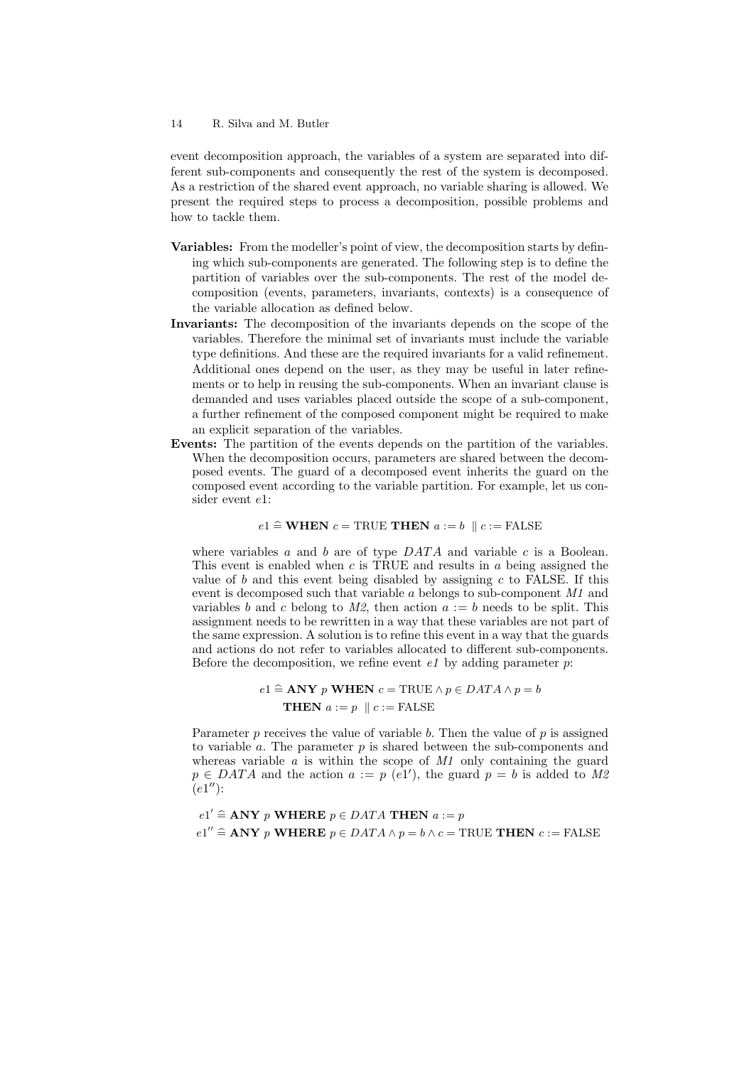event decomposition approach, the variables of a system are separated into different sub-components and consequently the rest of the system is decomposed. As a restriction of the shared event approach, no variable sharing is allowed. We present the required steps to process a decomposition, possible problems and how to tackle them.

- Variables: From the modeller's point of view, the decomposition starts by defining which sub-components are generated. The following step is to define the partition of variables over the sub-components. The rest of the model decomposition (events, parameters, invariants, contexts) is a consequence of the variable allocation as defined below.
- Invariants: The decomposition of the invariants depends on the scope of the variables. Therefore the minimal set of invariants must include the variable type definitions. And these are the required invariants for a valid refinement. Additional ones depend on the user, as they may be useful in later refinements or to help in reusing the sub-components. When an invariant clause is demanded and uses variables placed outside the scope of a sub-component, a further refinement of the composed component might be required to make an explicit separation of the variables.
- Events: The partition of the events depends on the partition of the variables. When the decomposition occurs, parameters are shared between the decomposed events. The guard of a decomposed event inherits the guard on the composed event according to the variable partition. For example, let us consider event e1:

 $e1 \triangleq$  WHEN  $c =$  TRUE THEN  $a := b \parallel c :=$  FALSE

where variables  $a$  and  $b$  are of type  $DATA$  and variable  $c$  is a Boolean. This event is enabled when  $c$  is TRUE and results in  $a$  being assigned the value of b and this event being disabled by assigning c to FALSE. If this event is decomposed such that variable a belongs to sub-component M1 and variables b and c belong to  $M2$ , then action  $a := b$  needs to be split. This assignment needs to be rewritten in a way that these variables are not part of the same expression. A solution is to refine this event in a way that the guards and actions do not refer to variables allocated to different sub-components. Before the decomposition, we refine event  $e_1$  by adding parameter  $p$ .

$$
e1 \cong \textbf{ANY } p \textbf{ WHERE } c = \text{TRUE } \land p \in DATA \land p = b
$$
  
\n**THEN** 
$$
a := p \parallel c := \text{FALSE }
$$

Parameter  $p$  receives the value of variable  $b$ . Then the value of  $p$  is assigned to variable  $a$ . The parameter  $p$  is shared between the sub-components and whereas variable  $\alpha$  is within the scope of  $M1$  only containing the guard  $p \in DATA$  and the action  $a := p \cdot (e1)$ , the guard  $p = b$  is added to M2  $\epsilon$ <sup>"</sup>):

$$
e1' \cong \text{ANY } p \text{ WHERE } p \in DATA \text{ THEN } a := p
$$
  

$$
e1'' \cong \text{ANY } p \text{ WHERE } p \in DATA \land p = b \land c = \text{TRUE } \text{THEN } c := \text{FALSE}
$$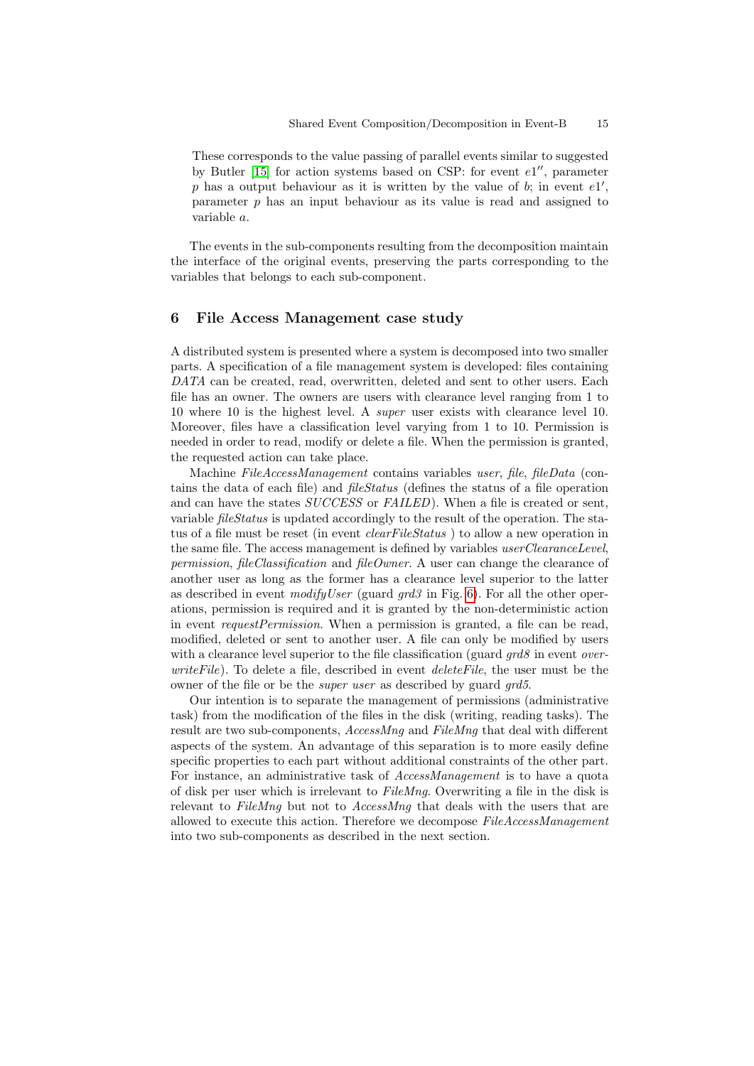These corresponds to the value passing of parallel events similar to suggested by Butler  $[15]$  for action systems based on CSP: for event  $e1''$ , parameter p has a output behaviour as it is written by the value of  $b$ ; in event  $e1'$ , parameter  $p$  has an input behaviour as its value is read and assigned to variable a.

The events in the sub-components resulting from the decomposition maintain the interface of the original events, preserving the parts corresponding to the variables that belongs to each sub-component.

### <span id="page-14-0"></span>6 File Access Management case study

A distributed system is presented where a system is decomposed into two smaller parts. A specification of a file management system is developed: files containing DATA can be created, read, overwritten, deleted and sent to other users. Each file has an owner. The owners are users with clearance level ranging from 1 to 10 where 10 is the highest level. A super user exists with clearance level 10. Moreover, files have a classification level varying from 1 to 10. Permission is needed in order to read, modify or delete a file. When the permission is granted, the requested action can take place.

Machine FileAccessManagement contains variables user, file, fileData (contains the data of each file) and fileStatus (defines the status of a file operation and can have the states SUCCESS or FAILED). When a file is created or sent, variable *fileStatus* is updated accordingly to the result of the operation. The status of a file must be reset (in event *clearFileStatus*) to allow a new operation in the same file. The access management is defined by variables *userClearanceLevel*, permission, fileClassification and fileOwner. A user can change the clearance of another user as long as the former has a clearance level superior to the latter as described in event *modifyUser* (guard  $grd3$  in Fig. [6\)](#page-15-0). For all the other operations, permission is required and it is granted by the non-deterministic action in event requestPermission. When a permission is granted, a file can be read, modified, deleted or sent to another user. A file can only be modified by users with a clearance level superior to the file classification (guard  $grd8$  in event overwriteFile). To delete a file, described in event *deleteFile*, the user must be the owner of the file or be the super user as described by guard grd5.

Our intention is to separate the management of permissions (administrative task) from the modification of the files in the disk (writing, reading tasks). The result are two sub-components, AccessMng and FileMng that deal with different aspects of the system. An advantage of this separation is to more easily define specific properties to each part without additional constraints of the other part. For instance, an administrative task of AccessManagement is to have a quota of disk per user which is irrelevant to  $FileMng$ . Overwriting a file in the disk is relevant to  $FileMng$  but not to  $AccessMng$  that deals with the users that are allowed to execute this action. Therefore we decompose FileAccessManagement into two sub-components as described in the next section.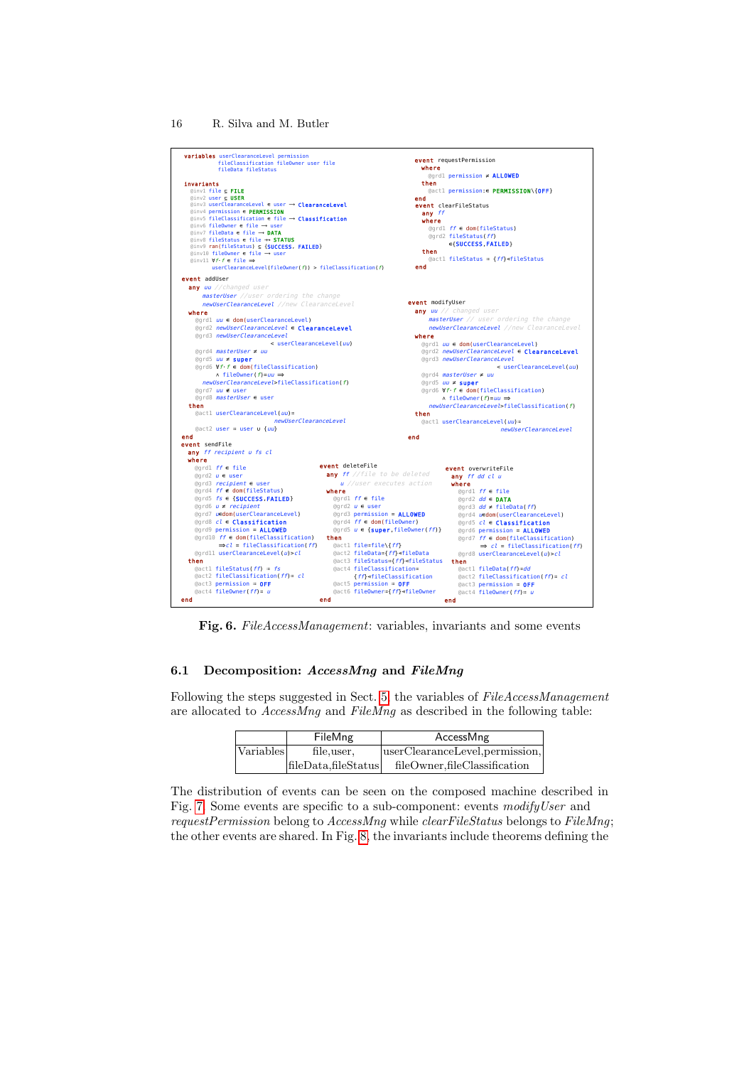

<span id="page-15-0"></span>Fig. 6.  $$ Fig. 6. FileAccessManagement: variables, invariants and some events

## 6.1 Decomposition:  $AccessMng$  and  $FileMng$

ollowing the step!' are allocated to  $AccessMng$  and  $FileMng$  as described in the following table: Following the steps suggested in Sect. [5,](#page-12-0) the variables of FileAccessManagement

|           | FileMng             | AccessMng                       |
|-----------|---------------------|---------------------------------|
| Variables | file, user,         | userClearanceLevel, permission, |
|           | fileData,fileStatus | fileOwner,fileClassification    |

The distribution of events can be seen on the composed machine described in Fig. [7.](#page-16-0) Some events are specific to a sub-component: events modifyUser and requestPermission belong to AccessMng while clearFileStatus belongs to FileMng; the other events are shared. In Fig. [8,](#page-16-1) the invariants include theorems defining the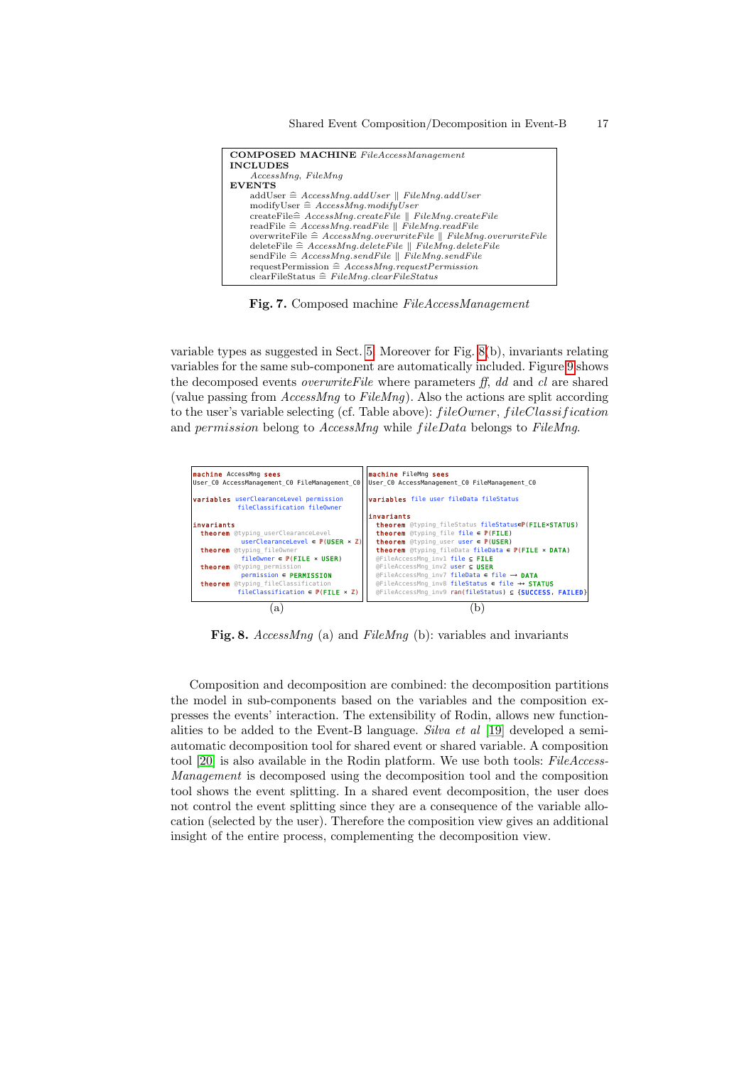|                    | <b>COMPOSED MACHINE</b> FileAccessManagement                                      |
|--------------------|-----------------------------------------------------------------------------------|
| <b>INCLUDES</b>    |                                                                                   |
| AccessMng, FileMng |                                                                                   |
| <b>EVENTS</b>      |                                                                                   |
|                    | $addUser \hat{=} AccessMng.addUser \parallel FileMng.addUser$                     |
|                    | modify User $\widehat{=}$ AccessMnq.modify User                                   |
|                    | createFile $\widehat{=}$ AccessMng.createFile    FileMng.createFile               |
|                    | readFile $\hat{=}$ AccessMng.readFile $\parallel$ FileMng.readFile                |
|                    | overwriteFile $\hat{=}$ AccessMnq.overwriteFile $\parallel$ FileMnq.overwriteFile |
|                    | deleteFile $\hat{=}$ AccessMng.deleteFile $\parallel$ FileMng.deleteFile          |
|                    | sendFile $\hat{=}$ AccessMng.sendFile    FileMng.sendFile                         |
|                    | request Permission $\hat{=}$ AccessMnq.request Permission                         |
|                    | $clearFilesStatus \hat{=} FileMnq. clearFilesStatus$                              |

<span id="page-16-0"></span>Fig. 7. Composed machine FileAccessManagement

variable types as suggested in Sect. [5.](#page-12-0) Moreover for Fig. [8\(](#page-16-1)b), invariants relating variables for the same sub-component are automatically included. Figure [9](#page-17-1) shows the decomposed events *overwriteFile* where parameters  $f, dd$  and  $c$  are shared (value passing from  $AccessMng$  to  $FileMng$ ). Also the actions are split according to the user's variable selecting (cf. Table above):  $fileOwner$ ,  $fileClassifier$ and permission belong to AccessMng while fileData belongs to FileMng.



<span id="page-16-1"></span>Fig. 8.  $AccessMng$  (a) and  $FileMng$  (b): variables and invariants @act2 permission % OFF  $\mathcal{O}$  (1)  $\mathcal{O}$ 

Composition and decomposition are combined: the decomposition partitions the model in sub-components based on the variables and the composition expresses the events' interaction. The extensibility of Rodin, allows new functionalities to be added to the Event-B language. Silva et al  $[19]$  developed a semiautomatic decomposition tool for shared event or shared variable. A composition  $\frac{1}{20}$  is also available in the Rodin platform. We use both tools: FileAccess-Management is decomposed using the decomposition tool and the composition tool shows the event splitting. In a shared event decomposition, the user does not control the event splitting since they are a consequence of the variable allocation (selected by the user). Therefore the composition view gives an additional insight of the entire process, complementing the decomposition view.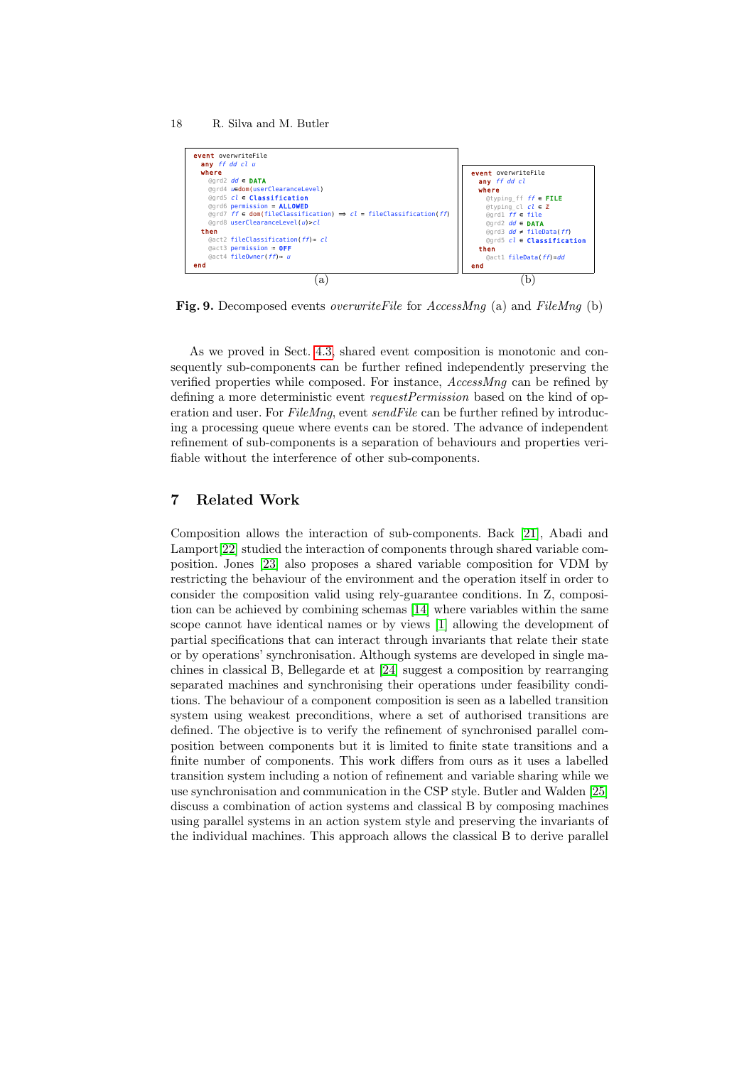![](_page_17_Figure_1.jpeg)

<span id="page-17-1"></span>Fig. 9. Decomposed events overwriteFile for AccessMng (a) and FileMng (b)

As we proved in Sect. [4.3,](#page-9-0) shared event composition is monotonic and consequently sub-components can be further refined independently preserving the verified properties while composed. For instance, AccessMng can be refined by defining a more deterministic event *requestPermission* based on the kind of operation and user. For  $FileMng$ , event sendFile can be further refined by introducing a processing queue where events can be stored. The advance of independent refinement of sub-components is a separation of behaviours and properties veri- @typing\_recipient recipient ! USER fiable without the interference of other sub-components.

## <span id="page-17-0"></span>7 Related Work

Composition allows the interaction of sub-components. Back [\[21\]](#page-19-13), Abadi and Lamport[\[22\]](#page-19-14) studied the interaction of components through shared variable composition. Jones [\[23\]](#page-19-15) also proposes a shared variable composition for VDM by restricting the behaviour of the environment and the operation itself in order to consider the composition valid using rely-guarantee conditions. In Z, composition can be achieved by combining schemas [\[14\]](#page-19-6) where variables within the same scope cannot have identical names or by views [\[1\]](#page-18-0) allowing the development of partial specifications that can interact through invariants that relate their state or by operations' synchronisation. Although systems are developed in single machines in classical B, Bellegarde et at [\[24\]](#page-19-16) suggest a composition by rearranging separated machines and synchronising their operations under feasibility conditions. The behaviour of a component composition is seen as a labelled transition system using weakest preconditions, where a set of authorised transitions are defined. The objective is to verify the refinement of synchronised parallel composition between components but it is limited to finite state transitions and a finite number of components. This work differs from ours as it uses a labelled transition system including a notion of refinement and variable sharing while we use synchronisation and communication in the CSP style. Butler and Walden [\[25\]](#page-19-17) discuss a combination of action systems and classical B by composing machines using parallel systems in an action system style and preserving the invariants of the individual machines. This approach allows the classical B to derive parallel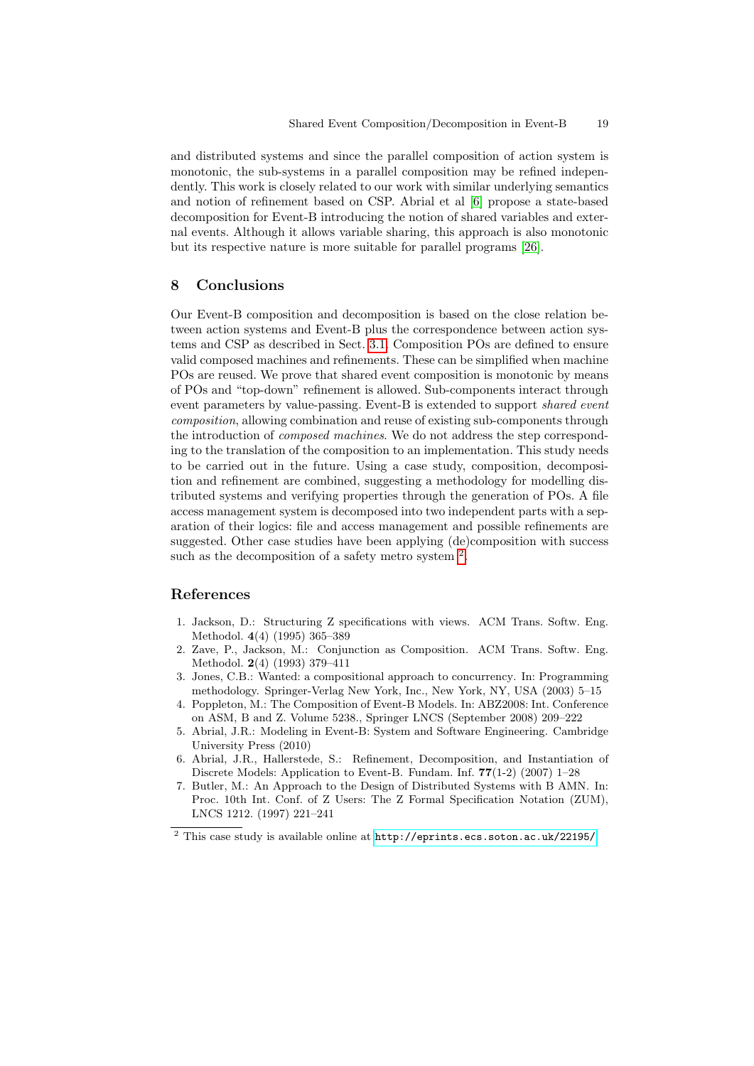and distributed systems and since the parallel composition of action system is monotonic, the sub-systems in a parallel composition may be refined independently. This work is closely related to our work with similar underlying semantics and notion of refinement based on CSP. Abrial et al [\[6\]](#page-18-5) propose a state-based decomposition for Event-B introducing the notion of shared variables and external events. Although it allows variable sharing, this approach is also monotonic but its respective nature is more suitable for parallel programs [\[26\]](#page-19-18).

## <span id="page-18-7"></span>8 Conclusions

Our Event-B composition and decomposition is based on the close relation between action systems and Event-B plus the correspondence between action systems and CSP as described in Sect. [3.1.](#page-3-2) Composition POs are defined to ensure valid composed machines and refinements. These can be simplified when machine POs are reused. We prove that shared event composition is monotonic by means of POs and "top-down" refinement is allowed. Sub-components interact through event parameters by value-passing. Event-B is extended to support *shared event* composition, allowing combination and reuse of existing sub-components through the introduction of composed machines. We do not address the step corresponding to the translation of the composition to an implementation. This study needs to be carried out in the future. Using a case study, composition, decomposition and refinement are combined, suggesting a methodology for modelling distributed systems and verifying properties through the generation of POs. A file access management system is decomposed into two independent parts with a separation of their logics: file and access management and possible refinements are suggested. Other case studies have been applying (de)composition with success such as the decomposition of a safety metro system <sup>[2](#page-18-8)</sup>.

## References

- <span id="page-18-0"></span>1. Jackson, D.: Structuring Z specifications with views. ACM Trans. Softw. Eng. Methodol. 4(4) (1995) 365–389
- <span id="page-18-1"></span>2. Zave, P., Jackson, M.: Conjunction as Composition. ACM Trans. Softw. Eng. Methodol. 2(4) (1993) 379–411
- <span id="page-18-2"></span>3. Jones, C.B.: Wanted: a compositional approach to concurrency. In: Programming methodology. Springer-Verlag New York, Inc., New York, NY, USA (2003) 5–15
- <span id="page-18-3"></span>4. Poppleton, M.: The Composition of Event-B Models. In: ABZ2008: Int. Conference on ASM, B and Z. Volume 5238., Springer LNCS (September 2008) 209–222
- <span id="page-18-4"></span>5. Abrial, J.R.: Modeling in Event-B: System and Software Engineering. Cambridge University Press (2010)
- <span id="page-18-5"></span>6. Abrial, J.R., Hallerstede, S.: Refinement, Decomposition, and Instantiation of Discrete Models: Application to Event-B. Fundam. Inf. 77(1-2) (2007) 1–28
- <span id="page-18-6"></span>7. Butler, M.: An Approach to the Design of Distributed Systems with B AMN. In: Proc. 10th Int. Conf. of Z Users: The Z Formal Specification Notation (ZUM), LNCS 1212. (1997) 221–241

<span id="page-18-8"></span><sup>2</sup> This case study is available online at <http://eprints.ecs.soton.ac.uk/22195/>